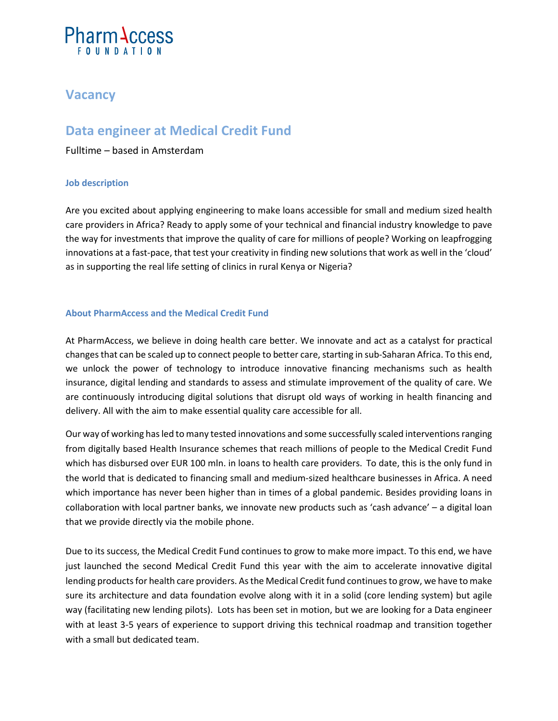# **Pharm Access**

## **Vacancy**

## **Data engineer at Medical Credit Fund**

Fulltime – based in Amsterdam

### **Job description**

Are you excited about applying engineering to make loans accessible for small and medium sized health care providers in Africa? Ready to apply some of your technical and financial industry knowledge to pave the way for investments that improve the quality of care for millions of people? Working on leapfrogging innovations at a fast-pace, that test your creativity in finding new solutions that work as well in the 'cloud' as in supporting the real life setting of clinics in rural Kenya or Nigeria?

### **About PharmAccess and the Medical Credit Fund**

At PharmAccess, we believe in doing health care better. We innovate and act as a catalyst for practical changes that can be scaled up to connect people to better care, starting in sub-Saharan Africa. To this end, we unlock the power of technology to introduce innovative financing mechanisms such as health insurance, digital lending and standards to assess and stimulate improvement of the quality of care. We are continuously introducing digital solutions that disrupt old ways of working in health financing and delivery. All with the aim to make essential quality care accessible for all.

Our way of working has led to many tested innovations and some successfully scaled interventions ranging from digitally based Health Insurance schemes that reach millions of people to the Medical Credit Fund which has disbursed over EUR 100 mln. in loans to health care providers. To date, this is the only fund in the world that is dedicated to financing small and medium-sized healthcare businesses in Africa. A need which importance has never been higher than in times of a global pandemic. Besides providing loans in collaboration with local partner banks, we innovate new products such as 'cash advance' – a digital loan that we provide directly via the mobile phone.

Due to its success, the Medical Credit Fund continues to grow to make more impact. To this end, we have just launched the second Medical Credit Fund this year with the aim to accelerate innovative digital lending products for health care providers. As the Medical Credit fund continues to grow, we have to make sure its architecture and data foundation evolve along with it in a solid (core lending system) but agile way (facilitating new lending pilots). Lots has been set in motion, but we are looking for a Data engineer with at least 3-5 years of experience to support driving this technical roadmap and transition together with a small but dedicated team.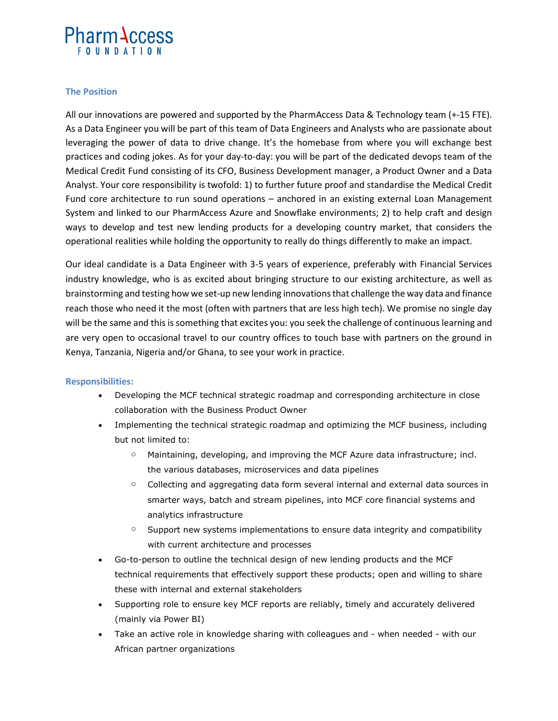# **Pharm Access**

#### **The Position**

All our innovations are powered and supported by the PharmAccess Data & Technology team (+-15 FTE). As a Data Engineer you will be part of this team of Data Engineers and Analysts who are passionate about leveraging the power of data to drive change. It's the homebase from where you will exchange best practices and coding jokes. As for your day-to-day: you will be part of the dedicated devops team of the Medical Credit Fund consisting of its CFO, Business Development manager, a Product Owner and a Data Analyst. Your core responsibility is twofold: 1) to further future proof and standardise the Medical Credit Fund core architecture to run sound operations – anchored in an existing external Loan Management System and linked to our PharmAccess Azure and Snowflake environments; 2) to help craft and design ways to develop and test new lending products for a developing country market, that considers the operational realities while holding the opportunity to really do things differently to make an impact.

Our ideal candidate is a Data Engineer with 3-5 years of experience, preferably with Financial Services industry knowledge, who is as excited about bringing structure to our existing architecture, as well as brainstorming and testing how we set-up new lending innovations that challenge the way data and finance reach those who need it the most (often with partners that are less high tech). We promise no single day will be the same and this is something that excites you: you seek the challenge of continuous learning and are very open to occasional travel to our country offices to touch base with partners on the ground in Kenya, Tanzania, Nigeria and/or Ghana, to see your work in practice.

#### **Responsibilities:**

- Developing the MCF technical strategic roadmap and corresponding architecture in close collaboration with the Business Product Owner
- Implementing the technical strategic roadmap and optimizing the MCF business, including but not limited to:
	- $\circ$  Maintaining, developing, and improving the MCF Azure data infrastructure; incl. the various databases, microservices and data pipelines
	- $\circ$  Collecting and aggregating data form several internal and external data sources in smarter ways, batch and stream pipelines, into MCF core financial systems and analytics infrastructure
	- $\circ$  Support new systems implementations to ensure data integrity and compatibility with current architecture and processes
- Go-to-person to outline the technical design of new lending products and the MCF technical requirements that effectively support these products; open and willing to share these with internal and external stakeholders
- Supporting role to ensure key MCF reports are reliably, timely and accurately delivered (mainly via Power BI)
- Take an active role in knowledge sharing with colleagues and when needed with our African partner organizations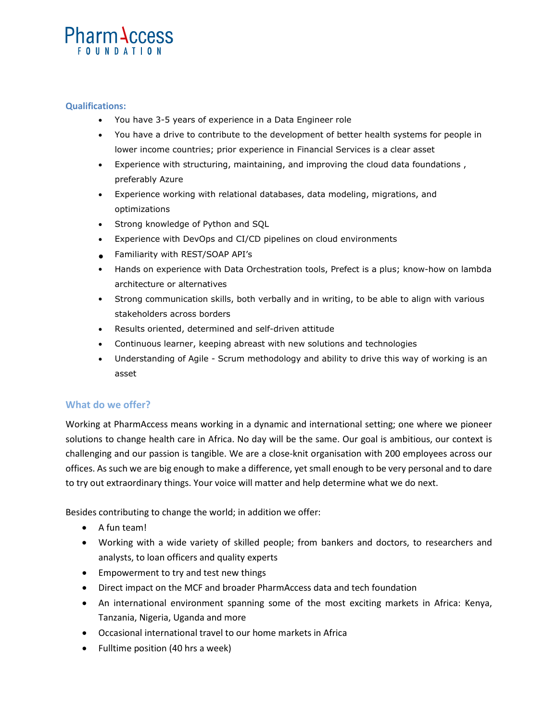# **Pharm Access**

#### **Qualifications:**

- You have 3-5 years of experience in a Data Engineer role
- You have a drive to contribute to the development of better health systems for people in lower income countries; prior experience in Financial Services is a clear asset
- Experience with structuring, maintaining, and improving the cloud data foundations , preferably Azure
- Experience working with relational databases, data modeling, migrations, and optimizations
- Strong knowledge of Python and SQL
- Experience with DevOps and CI/CD pipelines on cloud environments
- Familiarity with REST/SOAP API's
- Hands on experience with Data Orchestration tools, Prefect is a plus; know-how on lambda architecture or alternatives
- Strong communication skills, both verbally and in writing, to be able to align with various stakeholders across borders
- Results oriented, determined and self-driven attitude
- Continuous learner, keeping abreast with new solutions and technologies
- Understanding of Agile Scrum methodology and ability to drive this way of working is an asset

### **What do we offer?**

Working at PharmAccess means working in a dynamic and international setting; one where we pioneer solutions to change health care in Africa. No day will be the same. Our goal is ambitious, our context is challenging and our passion is tangible. We are a close-knit organisation with 200 employees across our offices. As such we are big enough to make a difference, yet small enough to be very personal and to dare to try out extraordinary things. Your voice will matter and help determine what we do next.

Besides contributing to change the world; in addition we offer:

- A fun team!
- Working with a wide variety of skilled people; from bankers and doctors, to researchers and analysts, to loan officers and quality experts
- Empowerment to try and test new things
- Direct impact on the MCF and broader PharmAccess data and tech foundation
- An international environment spanning some of the most exciting markets in Africa: Kenya, Tanzania, Nigeria, Uganda and more
- Occasional international travel to our home markets in Africa
- Fulltime position (40 hrs a week)